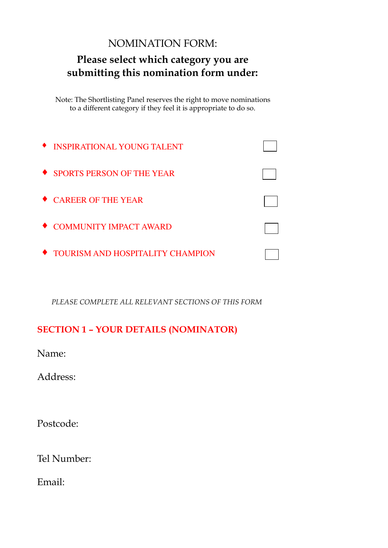# NOMINATION FORM:

## **Please select which category you are submitting this nomination form under:**

Note: The Shortlisting Panel reserves the right to move nominations to a different category if they feel it is appropriate to do so.

| <b>TEXA INSPIRATIONAL YOUNG TALENT</b> |  |
|----------------------------------------|--|
| ◆ SPORTS PERSON OF THE YEAR            |  |
| ◆ CAREER OF THE YEAR                   |  |
| ◆ COMMUNITY IMPACT AWARD               |  |
| ◆ TOURISM AND HOSPITALITY CHAMPION     |  |

*PLEASE COMPLETE ALL RELEVANT SECTIONS OF THIS FORM*

### **SECTION 1 – YOUR DETAILS (NOMINATOR)**

Name:

Address:

Postcode:

Tel Number:

Email: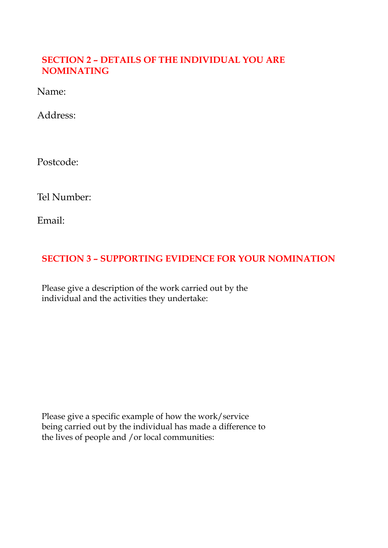#### **SECTION 2 – DETAILS OF THE INDIVIDUAL YOU ARE NOMINATING**

Name:

Address:

Postcode:

Tel Number:

Email:

#### **SECTION 3 – SUPPORTING EVIDENCE FOR YOUR NOMINATION**

Please give a description of the work carried out by the individual and the activities they undertake:

Please give a specific example of how the work/service being carried out by the individual has made a difference to the lives of people and /or local communities: